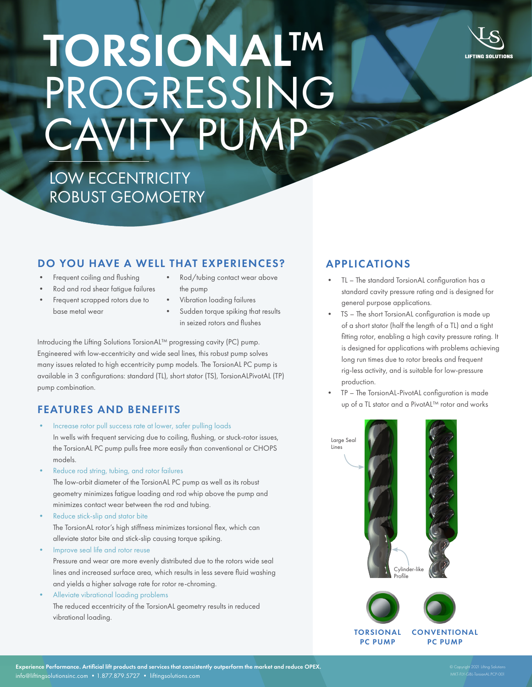

# TORSIONALTM PROGRESSING CAVITY PUMP

LOW ECCENTRICITY ROBUST GEOMOETRY

### DO YOU HAVE A WELL THAT EXPERIENCES?

- Frequent coiling and flushing
- Rod/tubing contact wear above the pump
- Rod and rod shear fatigue failures • Frequent scrapped rotors due to base metal wear
- Vibration loading failures Sudden torque spiking that results in seized rotors and flushes

Introducing the Lifting Solutions TorsionAL™ progressing cavity (PC) pump. Engineered with low-eccentricity and wide seal lines, this robust pump solves many issues related to high eccentricity pump models. The TorsionAL PC pump is available in 3 configurations: standard (TL), short stator (TS), TorsionALPivotAL (TP) pump combination.

## FEATURES AND BENEFITS

- Increase rotor pull success rate at lower, safer pulling loads In wells with frequent servicing due to coiling, flushing, or stuck-rotor issues, the TorsionAL PC pump pulls free more easily than conventional or CHOPS models.
- Reduce rod string, tubing, and rotor failures The low-orbit diameter of the TorsionAL PC pump as well as its robust

geometry minimizes fatigue loading and rod whip above the pump and minimizes contact wear between the rod and tubing.

Reduce stick-slip and stator bite

The TorsionAL rotor's high stiffness minimizes torsional flex, which can alleviate stator bite and stick-slip causing torque spiking.

• Improve seal life and rotor reuse

Pressure and wear are more evenly distributed due to the rotors wide seal lines and increased surface area, which results in less severe fluid washing and yields a higher salvage rate for rotor re-chroming.

• Alleviate vibrational loading problems The reduced eccentricity of the TorsionAL geometry results in reduced vibrational loading.

## APPLICATIONS

- TL The standard TorsionAL configuration has a standard cavity pressure rating and is designed for general purpose applications.
- TS The short TorsionAL configuration is made up of a short stator (half the length of a TL) and a tight fitting rotor, enabling a high cavity pressure rating. It is designed for applications with problems achieving long run times due to rotor breaks and frequent rig-less activity, and is suitable for low-pressure production.
- TP The TorsionAL-PivotAL configuration is made up of a TL stator and a PivotAL™ rotor and works